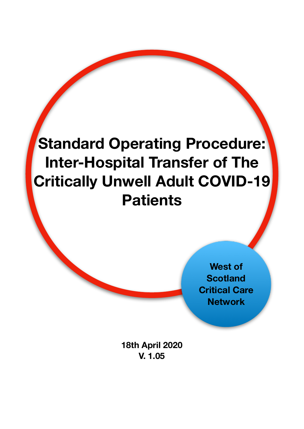

**West of Scotland Critical Care Network**

**18th April 2020 V. 1.05**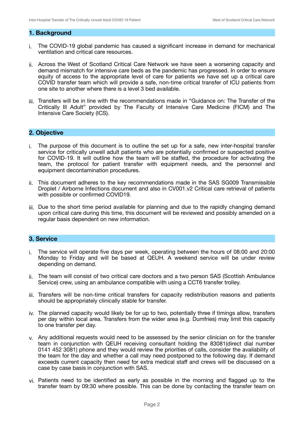#### **1. Background**

- i. The COVID-19 global pandemic has caused a significant increase in demand for mechanical ventilation and critical care resources.
- ii. Across the West of Scotland Critical Care Network we have seen a worsening capacity and demand mismatch for intensive care beds as the pandemic has progressed. In order to ensure equity of access to the appropriate level of care for patients we have set up a critical care COVID transfer team which will provide a safe, non-time critical transfer of ICU patients from one site to another where there is a level 3 bed available.
- iii. Transfers will be in line with the recommendations made in "Guidance on: The Transfer of the Critically Ill Adult" provided by The Faculty of Intensive Care Medicine (FICM) and The Intensive Care Society (ICS).

#### **2. Objective**

- i. The purpose of this document is to outline the set up for a safe, new inter-hospital transfer service for critically unwell adult patients who are potentially confirmed or suspected positive for COVID-19. It will outline how the team will be staffed, the procedure for activating the team, the protocol for patient transfer with equipment needs, and the personnel and equipment decontamination procedures.
- ii. This document adheres to the key recommendations made in the SAS SG009 Transmissible Droplet / Airborne Infections document and also in CV001.v2 Critical care retrieval of patients with possible or confirmed COVID19.
- iii. Due to the short time period available for planning and due to the rapidly changing demand upon critical care during this time, this document will be reviewed and possibly amended on a regular basis dependent on new information.

#### **3. Service**

- i. The service will operate five days per week, operating between the hours of 08:00 and 20:00 Monday to Friday and will be based at QEUH. A weekend service will be under review depending on demand.
- ii. The team will consist of two critical care doctors and a two person SAS (Scottish Ambulance Service) crew, using an ambulance compatible with using a CCT6 transfer trolley.
- iii. Transfers will be non-time critical transfers for capacity redistribution reasons and patients should be appropriately clinically stable for transfer.
- iv. The planned capacity would likely be for up to two, potentially three if timings allow, transfers per day within local area. Transfers from the wider area (e.g. Dumfries) may limit this capacity to one transfer per day.
- v. Any additional requests would need to be assessed by the senior clinician on for the transfer team in conjunction with QEUH receiving consultant holding the 83081(direct dial number 0141 452 3081) phone and they would review the priorities of calls, consider the availability of the team for the day and whether a call may need postponed to the following day. If demand exceeds current capacity then need for extra medical staff and crews will be discussed on a case by case basis in conjunction with SAS.
- vi. Patients need to be identified as early as possible in the morning and flagged up to the transfer team by 09:30 where possible. This can be done by contacting the transfer team on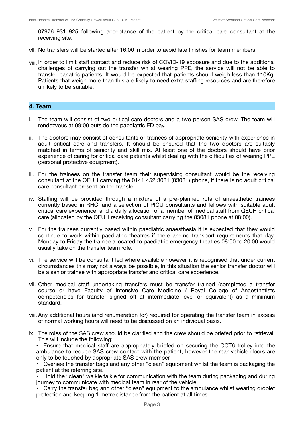07976 931 925 following acceptance of the patient by the critical care consultant at the receiving site.

- vii. No transfers will be started after 16:00 in order to avoid late finishes for team members.
- viii. In order to limit staff contact and reduce risk of COVID-19 exposure and due to the additional challenges of carrying out the transfer whilst wearing PPE, the service will not be able to transfer bariatric patients. It would be expected that patients should weigh less than 110Kg. Patients that weigh more than this are likely to need extra staffing resources and are therefore unlikely to be suitable.

#### **4. Team**

- i. The team will consist of two critical care doctors and a two person SAS crew. The team will rendezvous at 09:00 outside the paediatric ED bay.
- ii. The doctors may consist of consultants or trainees of appropriate seniority with experience in adult critical care and transfers. It should be ensured that the two doctors are suitably matched in terms of seniority and skill mix. At least one of the doctors should have prior experience of caring for critical care patients whilst dealing with the difficulties of wearing PPE (personal protective equipment).
- iii. For the trainees on the transfer team their supervising consultant would be the receiving consultant at the QEUH carrying the 0141 452 3081 (83081) phone, if there is no adult critical care consultant present on the transfer.
- iv. Staffing will be provided through a mixture of a pre-planned rota of anaesthetic trainees currently based in RHC, and a selection of PICU consultants and fellows with suitable adult critical care experience, and a daily allocation of a member of medical staff from QEUH critical care (allocated by the QEUH receiving consultant carrying the 83081 phone at 08:00).
- v. For the trainees currently based within paediatric anaesthesia it is expected that they would continue to work within paediatric theatres if there are no transport requirements that day. Monday to Friday the trainee allocated to paediatric emergency theatres 08:00 to 20:00 would usually take on the transfer team role.
- vi. The service will be consultant led where available however it is recognised that under current circumstances this may not always be possible, in this situation the senior transfer doctor will be a senior trainee with appropriate transfer and critical care experience.
- vii. Other medical staff undertaking transfers must be transfer trained (completed a transfer course or have Faculty of Intensive Care Medicine / Royal College of Anaesthetists competencies for transfer signed off at intermediate level or equivalent) as a minimum standard.
- viii. Any additional hours (and renumeration for) required for operating the transfer team in excess of normal working hours will need to be discussed on an individual basis.
- ix. The roles of the SAS crew should be clarified and the crew should be briefed prior to retrieval. This will include the following:

• Ensure that medical staff are appropriately briefed on securing the CCT6 trolley into the ambulance to reduce SAS crew contact with the patient, however the rear vehicle doors are only to be touched by appropriate SAS crew member.

• Oversee the transfer bags and any other "clean" equipment whilst the team is packaging the patient at the referring site.

• Hold the "clean" walkie talkie for communication with the team during packaging and during journey to communicate with medical team in rear of the vehicle.

 $\cdot$  Carry the transfer bag and other "clean" equipment to the ambulance whilst wearing droplet protection and keeping 1 metre distance from the patient at all times.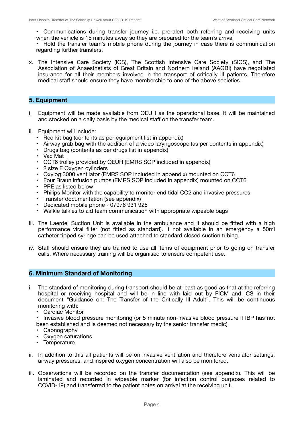• Communications during transfer journey i.e. pre-alert both referring and receiving units when the vehicle is 15 minutes away so they are prepared for the team's arrival

• Hold the transfer team's mobile phone during the journey in case there is communication regarding further transfers.

x. The Intensive Care Society (ICS), The Scottish Intensive Care Society (SICS), and The Association of Anaesthetists of Great Britain and Northern Ireland (AAGBI) have negotiated insurance for all their members involved in the transport of critically ill patients. Therefore medical staff should ensure they have membership to one of the above societies.

#### **5. Equipment**

- i. Equipment will be made available from QEUH as the operational base. It will be maintained and stocked on a daily basis by the medical staff on the transfer team.
- ii. Equipment will include:
	- Red kit bag (contents as per equipment list in appendix)
	- Airway grab bag with the addition of a video laryngoscope (as per contents in appendix)
	- Drugs bag (contents as per drugs list in appendix)
	- Vac Mat
	- CCT6 trolley provided by QEUH (EMRS SOP included in appendix)
	- 2 size E Oxygen cylinders
	- Oxylog 3000 ventilator (EMRS SOP included in appendix) mounted on CCT6
	- Four Braun infusion pumps (EMRS SOP included in appendix) mounted on CCT6
	- PPE as listed below
	- Philips Monitor with the capability to monitor end tidal CO2 and invasive pressures
	- Transfer documentation (see appendix)
	- Dedicated mobile phone 07976 931 925
	- Walkie talkies to aid team communication with appropriate wipeable bags
- iii. The Laerdel Suction Unit is available in the ambulance and it should be fitted with a high performance viral filter (not fitted as standard). If not available in an emergency a 50ml catheter tipped syringe can be used attached to standard closed suction tubing.
- iv. Staff should ensure they are trained to use all items of equipment prior to going on transfer calls. Where necessary training will be organised to ensure competent use.

#### **6. Minimum Standard of Monitoring**

- i. The standard of monitoring during transport should be at least as good as that at the referring hospital or receiving hospital and will be in line with laid out by FICM and ICS in their document "Guidance on: The Transfer of the Critically Ill Adult". This will be continuous monitoring with:
	- Cardiac Monitor

• Invasive blood pressure monitoring (or 5 minute non-invasive blood pressure if IBP has not been established and is deemed not necessary by the senior transfer medic)

- **Capnography**
- Oxygen saturations
- Temperature
- ii. In addition to this all patients will be on invasive ventilation and therefore ventilator settings, airway pressures, and inspired oxygen concentration will also be monitored.
- iii. Observations will be recorded on the transfer documentation (see appendix). This will be laminated and recorded in wipeable marker (for infection control purposes related to COVID-19) and transferred to the patient notes on arrival at the receiving unit.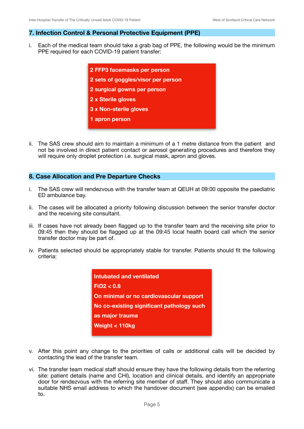#### **7. Infection Control & Personal Protective Equipment (PPE)**

i. Each of the medical team should take a grab bag of PPE, the following would be the minimum PPE required for each COVID-19 patient transfer:



ii. The SAS crew should aim to maintain a minimum of a 1 metre distance from the patient and not be involved in direct patient contact or aerosol generating procedures and therefore they will require only droplet protection i.e. surgical mask, apron and gloves.

#### **8. Case Allocation and Pre Departure Checks**

- i. The SAS crew will rendezvous with the transfer team at QEUH at 09:00 opposite the paediatric ED ambulance bay.
- ii. The cases will be allocated a priority following discussion between the senior transfer doctor and the receiving site consultant.
- iii. If cases have not already been flagged up to the transfer team and the receiving site prior to 09:45 then they should be flagged up at the 09:45 local health board call which the senior transfer doctor may be part of.
- iv. Patients selected should be appropriately stable for transfer. Patients should fit the following criteria:



- v. After this point any change to the priorities of calls or additional calls will be decided by contacting the lead of the transfer team.
- vi. The transfer team medical staff should ensure they have the following details from the referring site: patient details (name and CHI), location and clinical details, and identify an appropriate door for rendezvous with the referring site member of staff. They should also communicate a suitable NHS email address to which the handover document (see appendix) can be emailed to.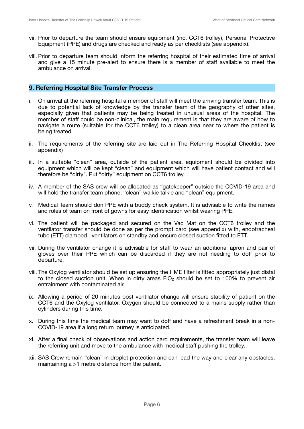- vii. Prior to departure the team should ensure equipment (inc. CCT6 trolley), Personal Protective Equipment (PPE) and drugs are checked and ready as per checklists (see appendix).
- viii. Prior to departure team should inform the referring hospital of their estimated time of arrival and give a 15 minute pre-alert to ensure there is a member of staff available to meet the ambulance on arrival.

#### **9. Referring Hospital Site Transfer Process**

- i. On arrival at the referring hospital a member of staff will meet the arriving transfer team. This is due to potential lack of knowledge by the transfer team of the geography of other sites, especially given that patients may be being treated in unusual areas of the hospital. The member of staff could be non-clinical, the main requirement is that they are aware of how to navigate a route (suitable for the CCT6 trolley) to a clean area near to where the patient is being treated.
- ii. The requirements of the referring site are laid out in The Referring Hospital Checklist (see appendix)
- iii. In a suitable "clean" area, outside of the patient area, equipment should be divided into equipment which will be kept "clean" and equipment which will have patient contact and will therefore be "dirty". Put "dirty" equipment on CCT6 trolley.
- iv. A member of the SAS crew will be allocated as "gatekeeper" outside the COVID-19 area and will hold the transfer team phone, "clean" walkie talkie and "clean" equipment.
- v. Medical Team should don PPE with a buddy check system. It is advisable to write the names and roles of team on front of gowns for easy identification whilst wearing PPE.
- vi. The patient will be packaged and secured on the Vac Mat on the CCT6 trolley and the ventilator transfer should be done as per the prompt card (see appendix) with, endotracheal tube (ETT) clamped, ventilators on standby and ensure closed suction fitted to ETT.
- vii. During the ventilator change it is advisable for staff to wear an additional apron and pair of gloves over their PPE which can be discarded if they are not needing to doff prior to departure.
- viii. The Oxylog ventilator should be set up ensuring the HME filter is fitted appropriately just distal to the closed suction unit. When in dirty areas  $FiO<sub>2</sub>$  should be set to 100% to prevent air entrainment with contaminated air.
- ix. Allowing a period of 20 minutes post ventilator change will ensure stability of patient on the CCT6 and the Oxylog ventilator. Oxygen should be connected to a mains supply rather than cylinders during this time.
- x. During this time the medical team may want to doff and have a refreshment break in a non-COVID-19 area if a long return journey is anticipated.
- xi. After a final check of observations and action card requirements, the transfer team will leave the referring unit and move to the ambulance with medical staff pushing the trolley.
- xii. SAS Crew remain "clean" in droplet protection and can lead the way and clear any obstacles, maintaining a >1 metre distance from the patient.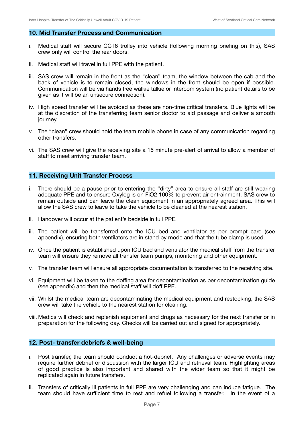#### **10. Mid Transfer Process and Communication**

- i. Medical staff will secure CCT6 trolley into vehicle (following morning briefing on this), SAS crew only will control the rear doors.
- ii. Medical staff will travel in full PPE with the patient.
- iii. SAS crew will remain in the front as the "clean" team, the window between the cab and the back of vehicle is to remain closed, the windows in the front should be open if possible. Communication will be via hands free walkie talkie or intercom system (no patient details to be given as it will be an unsecure connection).
- iv. High speed transfer will be avoided as these are non-time critical transfers. Blue lights will be at the discretion of the transferring team senior doctor to aid passage and deliver a smooth journey.
- v. The "clean" crew should hold the team mobile phone in case of any communication regarding other transfers.
- vi. The SAS crew will give the receiving site a 15 minute pre-alert of arrival to allow a member of staff to meet arriving transfer team.

#### **11. Receiving Unit Transfer Process**

- i. There should be a pause prior to entering the "dirty" area to ensure all staff are still wearing adequate PPE and to ensure Oxylog is on FiO2 100% to prevent air entrainment. SAS crew to remain outside and can leave the clean equipment in an appropriately agreed area. This will allow the SAS crew to leave to take the vehicle to be cleaned at the nearest station.
- ii. Handover will occur at the patient's bedside in full PPE.
- iii. The patient will be transferred onto the ICU bed and ventilator as per prompt card (see appendix), ensuring both ventilators are in stand by mode and that the tube clamp is used.
- iv. Once the patient is established upon ICU bed and ventilator the medical staff from the transfer team will ensure they remove all transfer team pumps, monitoring and other equipment.
- v. The transfer team will ensure all appropriate documentation is transferred to the receiving site.
- vi. Equipment will be taken to the doffing area for decontamination as per decontamination guide (see appendix) and then the medical staff will doff PPE.
- vii. Whilst the medical team are decontaminating the medical equipment and restocking, the SAS crew will take the vehicle to the nearest station for cleaning.
- viii. Medics will check and replenish equipment and drugs as necessary for the next transfer or in preparation for the following day. Checks will be carried out and signed for appropriately.

#### **12. Post- transfer debriefs & well-being**

- i. Post transfer, the team should conduct a hot-debrief. Any challenges or adverse events may require further debrief or discussion with the larger ICU and retrieval team. Highlighting areas of good practice is also important and shared with the wider team so that it might be replicated again in future transfers.
- ii. Transfers of critically ill patients in full PPE are very challenging and can induce fatigue. The team should have sufficient time to rest and refuel following a transfer. In the event of a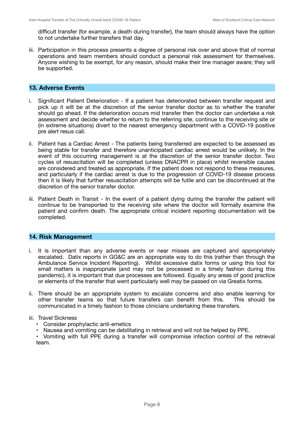difficult transfer (for example, a death during transfer), the team should always have the option to not undertake further transfers that day.

iii. Participation in this process presents a degree of personal risk over and above that of normal operations and team members should conduct a personal risk assessment for themselves. Anyone wishing to be exempt, for any reason, should make their line manager aware; they will be supported.

#### **13. Adverse Events**

- i. Significant Patient Deterioration If a patient has deteriorated between transfer request and pick up it wlll be at the discretion of the senior transfer doctor as to whether the transfer should go ahead. If the deterioration occurs mid transfer then the doctor can undertake a risk assessment and decide whether to return to the referring site, continue to the receiving site or (in extreme situations) divert to the nearest emergency department with a COVID-19 positive pre alert resus call.
- ii. Patient has a Cardiac Arrest The patients being transferred are expected to be assessed as being stable for transfer and therefore unanticipated cardiac arrest would be unlikely. In the event of this occurring management is at the discretion of the senior transfer doctor. Two cycles of resuscitation will be completed (unless DNACPR in place) whilst reversible causes are considered and treated as appropriate. If the patient does not respond to these measures, and particularly if the cardiac arrest is due to the progression of COVID-19 disease process then it is likely that further resuscitation attempts will be futile and can be discontinued at the discretion of the senior transfer doctor.
- iii. Patient Death in Transit In the event of a patient dying during the transfer the patient will continue to be transported to the receiving site where the doctor will formally examine the patient and confirm death. The appropriate critical incident reporting documentation will be completed.

#### **14. Risk Management**

- i. It is important than any adverse events or near misses are captured and appropriately escalated. Datix reports in GG&C are an appropriate way to do this (rather than through the Ambulance Service Incident Reporting). Whilst excessive datix forms or using this tool for small matters is inappropriate (and may not be processed in a timely fashion during this pandemic), it is important that due processes are followed. Equally any areas of good practice or elements of the transfer that went particularly well may be passed on via Greatix forms.
- ii. There should be an appropriate system to escalate concerns and also enable learning for other transfer teams so that future transfers can benefit from this. This should be communicated in a timely fashion to those clinicians undertaking these transfers.

#### iii. Travel Sickness

- Consider prophylactic anti-emetics
- Nausea and vomiting can be debilitating in retrieval and will not be helped by PPE.
- Vomiting with full PPE during a transfer will compromise infection control of the retrieval team.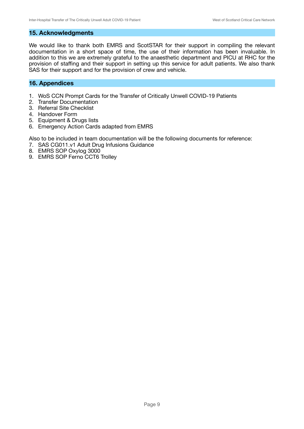#### **15. Acknowledgments**

We would like to thank both EMRS and ScotSTAR for their support in compiling the relevant documentation in a short space of time, the use of their information has been invaluable. In addition to this we are extremely grateful to the anaesthetic department and PICU at RHC for the provision of staffing and their support in setting up this service for adult patients. We also thank SAS for their support and for the provision of crew and vehicle.

#### **16. Appendices**

- 1. WoS CCN Prompt Cards for the Transfer of Critically Unwell COVID-19 Patients
- 2. Transfer Documentation
- 3. Referral Site Checklist
- 4. Handover Form
- 5. Equipment & Drugs lists
- 6. Emergency Action Cards adapted from EMRS

Also to be included in team documentation will be the following documents for reference:

- 7. SAS CG011.v1 Adult Drug Infusions Guidance
- 8. EMRS SOP Oxylog 3000
- 9. EMRS SOP Ferno CCT6 Trolley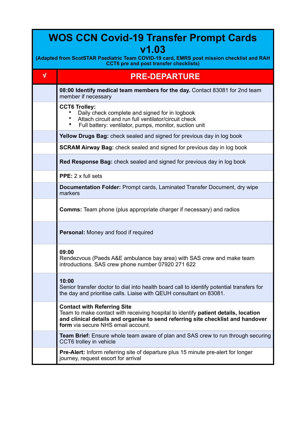| <b>WOS CCN Covid-19 Transfer Prompt Cards</b><br>V1.03<br>(Adapted from ScotSTAR Paediatric Team COVID-19 card, EMRS post mission checklist and RAH<br><b>CCT6</b> pre and post transfer checklists) |                                                                                                                                                                                                                                                   |  |  |  |  |  |
|------------------------------------------------------------------------------------------------------------------------------------------------------------------------------------------------------|---------------------------------------------------------------------------------------------------------------------------------------------------------------------------------------------------------------------------------------------------|--|--|--|--|--|
| $\sqrt{ }$                                                                                                                                                                                           | <b>PRE-DEPARTURE</b>                                                                                                                                                                                                                              |  |  |  |  |  |
|                                                                                                                                                                                                      | 08:00 Identify medical team members for the day. Contact 83081 for 2nd team<br>member if necessary                                                                                                                                                |  |  |  |  |  |
|                                                                                                                                                                                                      | <b>CCT6 Trolley:</b><br>Daily check complete and signed for in logbook<br>Attach circuit and run full ventilator/circuit check<br>Full battery: ventilator, pumps, monitor, suction unit                                                          |  |  |  |  |  |
|                                                                                                                                                                                                      | Yellow Drugs Bag: check sealed and signed for previous day in log book                                                                                                                                                                            |  |  |  |  |  |
|                                                                                                                                                                                                      | SCRAM Airway Bag: check sealed and signed for previous day in log book                                                                                                                                                                            |  |  |  |  |  |
|                                                                                                                                                                                                      | <b>Red Response Bag:</b> check sealed and signed for previous day in log book                                                                                                                                                                     |  |  |  |  |  |
|                                                                                                                                                                                                      | PPE: 2 x full sets                                                                                                                                                                                                                                |  |  |  |  |  |
|                                                                                                                                                                                                      | <b>Documentation Folder: Prompt cards, Laminated Transfer Document, dry wipe</b><br>markers                                                                                                                                                       |  |  |  |  |  |
|                                                                                                                                                                                                      | <b>Comms:</b> Team phone (plus appropriate charger if necessary) and radios                                                                                                                                                                       |  |  |  |  |  |
|                                                                                                                                                                                                      | Personal: Money and food if required                                                                                                                                                                                                              |  |  |  |  |  |
|                                                                                                                                                                                                      | 09:00<br>Rendezvous (Paeds A&E ambulance bay area) with SAS crew and make team<br>introductions. SAS crew phone number 07920 271 622                                                                                                              |  |  |  |  |  |
|                                                                                                                                                                                                      | 10:00<br>Senior transfer doctor to dial into health board call to identify potential transfers for<br>the day and prioritise calls. Liaise with QEUH consultant on 83081.                                                                         |  |  |  |  |  |
|                                                                                                                                                                                                      | <b>Contact with Referring Site</b><br>Team to make contact with receiving hospital to identify patient details, location<br>and clinical details and organise to send referring site checklist and handover<br>form via secure NHS email account. |  |  |  |  |  |
|                                                                                                                                                                                                      | <b>Team Brief:</b> Ensure whole team aware of plan and SAS crew to run through securing<br>CCT6 trolley in vehicle                                                                                                                                |  |  |  |  |  |
|                                                                                                                                                                                                      | <b>Pre-Alert:</b> Inform referring site of departure plus 15 minute pre-alert for longer<br>journey, request escort for arrival                                                                                                                   |  |  |  |  |  |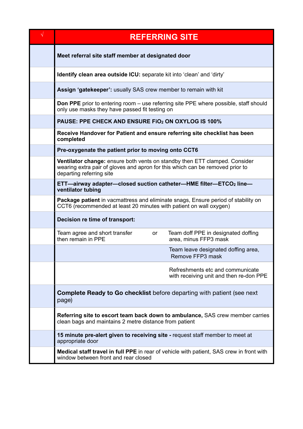| $\sqrt{}$ | <b>REFERRING SITE</b>                                                                                                                                                                          |  |  |  |  |  |
|-----------|------------------------------------------------------------------------------------------------------------------------------------------------------------------------------------------------|--|--|--|--|--|
|           | Meet referral site staff member at designated door                                                                                                                                             |  |  |  |  |  |
|           | Identify clean area outside ICU: separate kit into 'clean' and 'dirty'                                                                                                                         |  |  |  |  |  |
|           | Assign 'gatekeeper': usually SAS crew member to remain with kit                                                                                                                                |  |  |  |  |  |
|           | <b>Don PPE</b> prior to entering room – use referring site PPE where possible, staff should<br>only use masks they have passed fit testing on                                                  |  |  |  |  |  |
|           | PAUSE: PPE CHECK AND ENSURE FIO <sub>2</sub> ON OXYLOG IS 100%                                                                                                                                 |  |  |  |  |  |
|           | Receive Handover for Patient and ensure referring site checklist has been<br>completed                                                                                                         |  |  |  |  |  |
|           | Pre-oxygenate the patient prior to moving onto CCT6                                                                                                                                            |  |  |  |  |  |
|           | <b>Ventilator change:</b> ensure both vents on standby then ETT clamped. Consider<br>wearing extra pair of gloves and apron for this which can be removed prior to<br>departing referring site |  |  |  |  |  |
|           | ETT-airway adapter-closed suction catheter-HME filter-ETCO2 line-<br>ventilator tubing                                                                                                         |  |  |  |  |  |
|           | Package patient in vacmattress and eliminate snags, Ensure period of stability on<br>CCT6 (recommended at least 20 minutes with patient on wall oxygen)                                        |  |  |  |  |  |
|           | Decision re time of transport:                                                                                                                                                                 |  |  |  |  |  |
|           | Team agree and short transfer<br>Team doff PPE in designated doffing<br>or<br>then remain in PPE<br>area, minus FFP3 mask                                                                      |  |  |  |  |  |
|           | Team leave designated doffing area,<br>Remove FFP3 mask                                                                                                                                        |  |  |  |  |  |
|           | Refreshments etc and communicate<br>with receiving unit and then re-don PPE                                                                                                                    |  |  |  |  |  |
|           | <b>Complete Ready to Go checklist</b> before departing with patient (see next<br>page)                                                                                                         |  |  |  |  |  |
|           | Referring site to escort team back down to ambulance, SAS crew member carries<br>clean bags and maintains 2 metre distance from patient                                                        |  |  |  |  |  |
|           | 15 minute pre-alert given to receiving site - request staff member to meet at<br>appropriate door                                                                                              |  |  |  |  |  |
|           | Medical staff travel in full PPE in rear of vehicle with patient, SAS crew in front with<br>window between front and rear closed                                                               |  |  |  |  |  |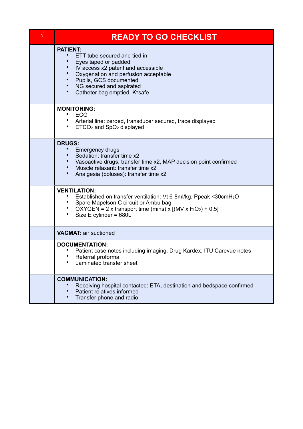| $\sqrt{ }$ | <b>READY TO GO CHECKLIST</b>                                                                                                                                                                                                                             |
|------------|----------------------------------------------------------------------------------------------------------------------------------------------------------------------------------------------------------------------------------------------------------|
|            | <b>PATIENT:</b><br>ETT tube secured and tied in<br>Eyes taped or padded<br>IV access x2 patent and accessible<br>Oxygenation and perfusion acceptable<br>Pupils, GCS documented<br>NG secured and aspirated<br>$\bullet$<br>Catheter bag emptied, K+safe |
|            | <b>MONITORING:</b><br><b>ECG</b><br>• Arterial line: zeroed, transducer secured, trace displayed<br>$ETCO2$ and $SpO2$ displayed                                                                                                                         |
|            | <b>DRUGS:</b><br><b>Emergency drugs</b><br>Sedation: transfer time x2<br>• Vasoactive drugs: transfer time x2, MAP decision point confirmed<br>Muscle relaxant: transfer time x2<br>Analgesia (boluses): transfer time x2                                |
|            | <b>VENTILATION:</b><br>Established on transfer ventilation: Vt 6-8ml/kg, Ppeak <30cmH <sub>2</sub> O<br>• Spare Mapelson C circuit or Ambu bag<br>• OXYGEN = 2 x transport time (mins) x $[(MV x FiO2) + 0.5]$<br>$\bullet$<br>Size E cylinder = 680L    |
|            | <b>VACMAT: air suctioned</b>                                                                                                                                                                                                                             |
|            | <b>DOCUMENTATION:</b><br>Patient case notes including imaging. Drug Kardex, ITU Carevue notes<br>$\bullet$<br>Referral proforma<br>Laminated transfer sheet                                                                                              |
|            | <b>COMMUNICATION:</b><br>Receiving hospital contacted: ETA, destination and bedspace confirmed<br>Patient relatives informed<br>Transfer phone and radio                                                                                                 |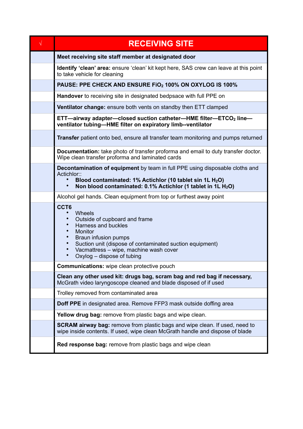| <b>RECEIVING SITE</b>                                                                                                                                                                                                                                  |  |  |  |  |  |
|--------------------------------------------------------------------------------------------------------------------------------------------------------------------------------------------------------------------------------------------------------|--|--|--|--|--|
| Meet receiving site staff member at designated door                                                                                                                                                                                                    |  |  |  |  |  |
| <b>Identify 'clean' area:</b> ensure 'clean' kit kept here, SAS crew can leave at this point<br>to take vehicle for cleaning                                                                                                                           |  |  |  |  |  |
| PAUSE: PPE CHECK AND ENSURE FIO <sub>2</sub> 100% ON OXYLOG IS 100%                                                                                                                                                                                    |  |  |  |  |  |
| <b>Handover</b> to receiving site in designated bedpsace with full PPE on                                                                                                                                                                              |  |  |  |  |  |
| <b>Ventilator change:</b> ensure both vents on standby then ETT clamped                                                                                                                                                                                |  |  |  |  |  |
| ETT-airway adapter-closed suction catheter-HME filter-ETCO <sub>2</sub> line-<br>ventilator tubing-HME filter on expiratory limb--ventilator                                                                                                           |  |  |  |  |  |
| <b>Transfer</b> patient onto bed, ensure all transfer team monitoring and pumps returned                                                                                                                                                               |  |  |  |  |  |
| Documentation: take photo of transfer proforma and email to duty transfer doctor.<br>Wipe clean transfer proforma and laminated cards                                                                                                                  |  |  |  |  |  |
| <b>Decontamination of equipment</b> by team in full PPE using disposable cloths and<br>Actichlor::<br>Blood contaminated: 1% Actichlor (10 tablet sin 1L H <sub>2</sub> O)<br>Non blood contaminated: 0.1% Actichlor (1 tablet in 1L H <sub>2</sub> O) |  |  |  |  |  |
| Alcohol gel hands. Clean equipment from top or furthest away point                                                                                                                                                                                     |  |  |  |  |  |
| CCT6<br>Wheels<br>Outside of cupboard and frame<br>Harness and buckles<br>Monitor<br>Braun infusion pumps<br>Suction unit (dispose of contaminated suction equipment)<br>Vacmattress - wipe, machine wash cover<br>Oxylog - dispose of tubing          |  |  |  |  |  |
| <b>Communications:</b> wipe clean protective pouch                                                                                                                                                                                                     |  |  |  |  |  |
| Clean any other used kit: drugs bag, scram bag and red bag if necessary,<br>McGrath video laryngoscope cleaned and blade disposed of if used                                                                                                           |  |  |  |  |  |
| Trolley removed from contaminated area                                                                                                                                                                                                                 |  |  |  |  |  |
| Doff PPE in designated area. Remove FFP3 mask outside doffing area                                                                                                                                                                                     |  |  |  |  |  |
| <b>Yellow drug bag:</b> remove from plastic bags and wipe clean.                                                                                                                                                                                       |  |  |  |  |  |
| <b>SCRAM airway bag:</b> remove from plastic bags and wipe clean. If used, need to<br>wipe inside contents. If used, wipe clean McGrath handle and dispose of blade                                                                                    |  |  |  |  |  |
| <b>Red response bag:</b> remove from plastic bags and wipe clean                                                                                                                                                                                       |  |  |  |  |  |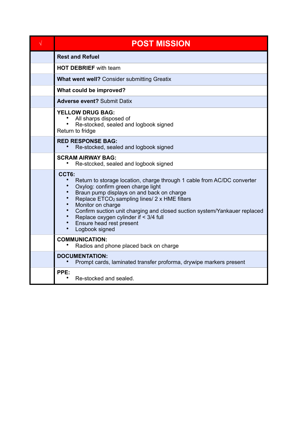| V | <b>POST MISSION</b>                                                                                                                                                                                                                                                                                                                                                                                                                                              |  |  |  |  |
|---|------------------------------------------------------------------------------------------------------------------------------------------------------------------------------------------------------------------------------------------------------------------------------------------------------------------------------------------------------------------------------------------------------------------------------------------------------------------|--|--|--|--|
|   | <b>Rest and Refuel</b>                                                                                                                                                                                                                                                                                                                                                                                                                                           |  |  |  |  |
|   | <b>HOT DEBRIEF</b> with team                                                                                                                                                                                                                                                                                                                                                                                                                                     |  |  |  |  |
|   | <b>What went well?</b> Consider submitting Greatix                                                                                                                                                                                                                                                                                                                                                                                                               |  |  |  |  |
|   | What could be improved?                                                                                                                                                                                                                                                                                                                                                                                                                                          |  |  |  |  |
|   | <b>Adverse event? Submit Datix</b>                                                                                                                                                                                                                                                                                                                                                                                                                               |  |  |  |  |
|   | <b>YELLOW DRUG BAG:</b><br>All sharps disposed of<br>Re-stocked, sealed and logbook signed<br>Return to fridge                                                                                                                                                                                                                                                                                                                                                   |  |  |  |  |
|   | <b>RED RESPONSE BAG:</b><br>Re-stocked, sealed and logbook signed                                                                                                                                                                                                                                                                                                                                                                                                |  |  |  |  |
|   | <b>SCRAM AIRWAY BAG:</b><br>Re-stccked, sealed and logbook signed                                                                                                                                                                                                                                                                                                                                                                                                |  |  |  |  |
|   | CCT6:<br>$\bullet$<br>Return to storage location, charge through 1 cable from AC/DC converter<br>Oxylog: confirm green charge light<br>$\bullet$<br>Braun pump displays on and back on charge<br>Replace ETCO <sub>2</sub> sampling lines/ 2 x HME filters<br>$\bullet$<br>Monitor on charge<br>Confirm suction unit charging and closed suction system/Yankauer replaced<br>Replace oxygen cylinder if < 3/4 full<br>Ensure head rest present<br>Logbook signed |  |  |  |  |
|   | <b>COMMUNICATION:</b><br>Radios and phone placed back on charge                                                                                                                                                                                                                                                                                                                                                                                                  |  |  |  |  |
|   | <b>DOCUMENTATION:</b><br>Prompt cards, laminated transfer proforma, drywipe markers present                                                                                                                                                                                                                                                                                                                                                                      |  |  |  |  |
|   | PPE:<br>Re-stocked and sealed.                                                                                                                                                                                                                                                                                                                                                                                                                                   |  |  |  |  |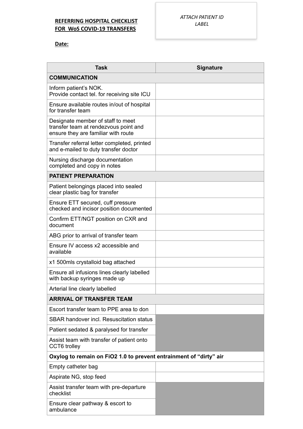### **REFERRING HOSPITAL CHECKLIST FOR WoS COVID-19 TRANSFERS**

**Date:**

| <b>Task</b>                                                                                                       | <b>Signature</b> |  |  |  |  |
|-------------------------------------------------------------------------------------------------------------------|------------------|--|--|--|--|
| <b>COMMUNICATION</b>                                                                                              |                  |  |  |  |  |
| Inform patient's NOK.<br>Provide contact tel. for receiving site ICU                                              |                  |  |  |  |  |
| Ensure available routes in/out of hospital<br>for transfer team                                                   |                  |  |  |  |  |
| Designate member of staff to meet<br>transfer team at rendezvous point and<br>ensure they are familiar with route |                  |  |  |  |  |
| Transfer referral letter completed, printed<br>and e-mailed to duty transfer doctor                               |                  |  |  |  |  |
| Nursing discharge documentation<br>completed and copy in notes                                                    |                  |  |  |  |  |
| <b>PATIENT PREPARATION</b>                                                                                        |                  |  |  |  |  |
| Patient belongings placed into sealed<br>clear plastic bag for transfer                                           |                  |  |  |  |  |
| Ensure ETT secured, cuff pressure<br>checked and incisor position documented                                      |                  |  |  |  |  |
| Confirm ETT/NGT position on CXR and<br>document                                                                   |                  |  |  |  |  |
| ABG prior to arrival of transfer team                                                                             |                  |  |  |  |  |
| Ensure IV access x2 accessible and<br>available                                                                   |                  |  |  |  |  |
| x1 500mls crystalloid bag attached                                                                                |                  |  |  |  |  |
| Ensure all infusions lines clearly labelled<br>with backup syringes made up                                       |                  |  |  |  |  |
| Arterial line clearly labelled                                                                                    |                  |  |  |  |  |
| <b>ARRIVAL OF TRANSFER TEAM</b>                                                                                   |                  |  |  |  |  |
| Escort transfer team to PPE area to don                                                                           |                  |  |  |  |  |
| <b>SBAR handover incl. Resuscitation status</b>                                                                   |                  |  |  |  |  |
| Patient sedated & paralysed for transfer                                                                          |                  |  |  |  |  |
| Assist team with transfer of patient onto<br>CCT6 trolley                                                         |                  |  |  |  |  |
| Oxylog to remain on FiO2 1.0 to prevent entrainment of "dirty" air                                                |                  |  |  |  |  |
| Empty catheter bag                                                                                                |                  |  |  |  |  |
| Aspirate NG, stop feed                                                                                            |                  |  |  |  |  |
| Assist transfer team with pre-departure<br>checklist                                                              |                  |  |  |  |  |
| Ensure clear pathway & escort to<br>ambulance                                                                     |                  |  |  |  |  |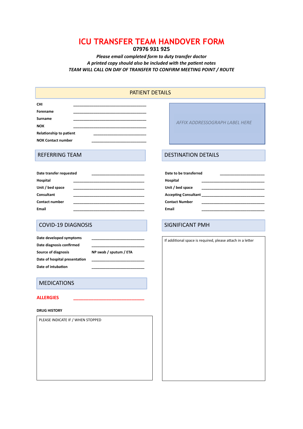#### **ICU TRANSFER TEAM HANDOVER FORM 07976 931 925**

#### *Please email completed form to duty transfer doctor*  A printed copy should also be included with the patient notes *TEAM WILL CALL ON DAY OF TRANSFER TO CONFIRM MEETING POINT / ROUTE*

| <b>PATIENT DETAILS</b>                                                                                  |                                |  |  |  |  |
|---------------------------------------------------------------------------------------------------------|--------------------------------|--|--|--|--|
| <b>CHI</b><br>Forename<br>Surname<br><b>NOK</b><br>Relationship to patient<br><b>NOK Contact number</b> | AFFIX ADDRESSOGRAPH LABEL HERE |  |  |  |  |
| <b>REFERRING TEAM</b>                                                                                   | <b>DESTINATION DETAILS</b>     |  |  |  |  |

| Date transfer requested | Date to be transferred      |
|-------------------------|-----------------------------|
| Hospital                | Hospital                    |
| Unit / bed space        | Unit / bed space            |
| Consultant              | <b>Accepting Consultant</b> |
| <b>Contact number</b>   | <b>Contact Number</b>       |
| <b>Email</b>            | Email                       |

#### COVID-19 DIAGNOSIS SIGNIFICANT PMH

| Date developed symptoms       |                        |
|-------------------------------|------------------------|
| Date diagnosis confirmed      |                        |
| <b>Source of diagnosis</b>    | NP swab / sputum / ETA |
| Date of hospital presentation |                        |
| Date of intubation            |                        |

#### MEDICATIONS

#### **ALLERGIES \_\_\_\_\_\_\_\_\_\_\_\_\_\_\_\_\_\_\_\_\_\_\_\_\_\_\_\_**

#### **DRUG HISTORY**

PLEASE INDICATE IF / WHEN STOPPED

Date to be transferred

If additional space is required, please attach in a letter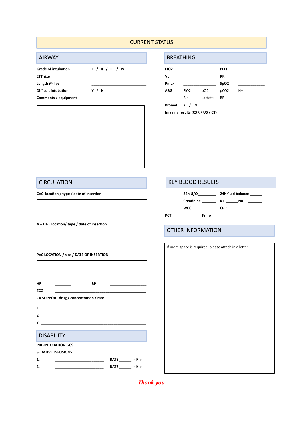#### CURRENT STATUS

#### AIRWAY **BREATHING**

| $\sqrt{2}$                 |                      |                  | <u>UNLAITIIV</u> |                 |                  |      |  |
|----------------------------|----------------------|------------------|------------------|-----------------|------------------|------|--|
| <b>Grade of intubation</b> | 1 / 1 / 11 / 11 / 10 | FIO <sub>2</sub> |                  |                 | <b>PEEP</b>      |      |  |
| <b>ETT size</b>            |                      | Vt               |                  |                 | RR               |      |  |
| Length @ lips              |                      | Pmax             |                  |                 | SpO <sub>2</sub> |      |  |
| Difficult intubation       | Y / N                | <b>ABG</b>       | FiO <sub>2</sub> | pO <sub>2</sub> | pCO <sub>2</sub> | $H+$ |  |
| Comments / equipment       |                      |                  | Bic              | Lactate         | BE               |      |  |
|                            |                      | Proned           | Y / N            |                 |                  |      |  |

**Imaging results (CXR / US / CT)**

#### **CIRCULATION** CIRCULATION

A - LINE location/ type / date of insertion

**PVC LOCATION / size / DATE OF INSERTION HR \_\_\_\_\_\_\_\_ BP \_\_\_\_\_\_\_\_\_\_\_\_\_\_\_\_\_\_ ECG \_\_\_\_\_\_\_\_\_\_\_\_\_\_\_\_\_\_\_\_\_\_\_\_\_\_\_\_\_\_\_\_\_\_\_\_\_\_\_\_\_\_\_\_\_ CV SUPPORT drug / concentration / rate** 1. \_\_\_\_\_\_\_\_\_\_\_\_\_\_\_\_\_\_\_\_\_\_\_\_\_\_\_\_\_\_\_\_\_\_\_\_\_\_\_\_\_\_\_\_\_\_\_\_\_\_\_\_  $2.$ 3. \_\_\_\_\_\_\_\_\_\_\_\_\_\_\_\_\_\_\_\_\_\_\_\_\_\_\_\_\_\_\_\_\_\_\_\_\_\_\_\_\_\_\_\_\_\_\_\_\_\_\_\_ Ī **PRE-INTUBATION GCS SEDATIVE INFUSIONS 1. \_\_\_\_\_\_\_\_\_\_\_\_\_\_\_\_\_\_ \_\_\_\_\_\_ RATE \_\_\_\_\_\_ ml/hr 2. \_\_\_\_\_\_\_\_\_\_\_\_\_\_\_\_\_\_\_\_\_\_\_\_ RATE \_\_\_\_\_\_ ml/hr**  DISABILITY

#### CVC location / type / date of insertion **24h U/O\_\_\_\_\_\_\_\_ 24h fluid balance** 22h fluid balance Creatinine \_\_\_\_\_\_\_\_ K+ \_\_\_\_\_\_Na+ \_\_\_\_\_\_\_  **WCC \_\_\_\_\_\_\_ CRP \_\_\_\_\_\_\_ PCT \_\_\_\_\_\_\_ Temp \_\_\_\_\_\_\_**

#### OTHER INFORMATION

| If more space is required, please attach in a letter |  |  |  |
|------------------------------------------------------|--|--|--|
|                                                      |  |  |  |
|                                                      |  |  |  |
|                                                      |  |  |  |
|                                                      |  |  |  |
|                                                      |  |  |  |
|                                                      |  |  |  |
|                                                      |  |  |  |
|                                                      |  |  |  |
|                                                      |  |  |  |
|                                                      |  |  |  |
|                                                      |  |  |  |
|                                                      |  |  |  |
|                                                      |  |  |  |
|                                                      |  |  |  |
|                                                      |  |  |  |
|                                                      |  |  |  |
|                                                      |  |  |  |
|                                                      |  |  |  |

*Thank you*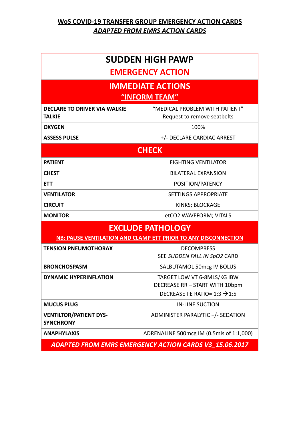## **SUDDEN HIGH PAWP EMERGENCY ACTION**

## **IMMEDIATE ACTIONS**

## **"INFORM TEAM"**

| <b>DECLARE TO DRIVER VIA WALKIE</b><br><b>TALKIE</b>           | "MEDICAL PROBLEM WITH PATIENT"<br>Request to remove seatbelts                                              |  |  |  |
|----------------------------------------------------------------|------------------------------------------------------------------------------------------------------------|--|--|--|
| <b>OXYGEN</b>                                                  | 100%                                                                                                       |  |  |  |
| <b>ASSESS PULSE</b>                                            | +/- DECLARE CARDIAC ARREST                                                                                 |  |  |  |
|                                                                | <b>CHECK</b>                                                                                               |  |  |  |
| <b>PATIENT</b>                                                 | <b>FIGHTING VENTILATOR</b>                                                                                 |  |  |  |
| <b>CHEST</b>                                                   | BILATERAL EXPANSION                                                                                        |  |  |  |
| <b>ETT</b>                                                     | POSITION/PATENCY                                                                                           |  |  |  |
| <b>VENTILATOR</b>                                              | <b>SETTINGS APPROPRIATE</b>                                                                                |  |  |  |
| <b>CIRCUIT</b>                                                 | KINKS; BLOCKAGE                                                                                            |  |  |  |
| <b>MONITOR</b>                                                 | etCO2 WAVEFORM; VITALS                                                                                     |  |  |  |
| <b>EXCLUDE PATHOLOGY</b>                                       |                                                                                                            |  |  |  |
| NB: PAUSE VENTILATION AND CLAMP ETT PRIOR TO ANY DISCONNECTION |                                                                                                            |  |  |  |
| <b>TENSION PNEUMOTHORAX</b>                                    | <b>DECOMPRESS</b><br>SEE SUDDEN FALL IN SpO2 CARD                                                          |  |  |  |
| <b>BRONCHOSPASM</b>                                            | SALBUTAMOL 50mcg IV BOLUS                                                                                  |  |  |  |
| <b>DYNAMIC HYPERINFLATION</b>                                  | TARGET LOW VT 6-8MLS/KG IBW<br>DECREASE RR - START WITH 10bpm<br>DECREASE I:E RATIO= 1:3 $\rightarrow$ 1:5 |  |  |  |
| <b>MUCUS PLUG</b>                                              | <b>IN-LINE SUCTION</b>                                                                                     |  |  |  |
| <b>VENTILTOR/PATIENT DYS-</b><br><b>SYNCHRONY</b>              | ADMINISTER PARALYTIC +/- SEDATION                                                                          |  |  |  |
| <b>ANAPHYLAXIS</b>                                             | ADRENALINE 500mcg IM (0.5mls of 1:1,000)                                                                   |  |  |  |

*ADAPTED FROM EMRS EMERGENCY ACTION CARDS V3\_15.06.2017*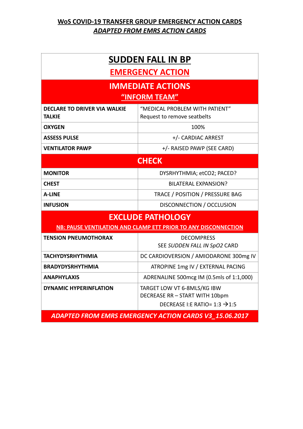## **SUDDEN FALL IN BP**

## **EMERGENCY ACTION**

## **IMMEDIATE ACTIONS "INFORM TEAM"**

### **DECLARE TO DRIVER VIA WALKIE**  "MEDICAL PROBLEM WITH PATIENT" Request to remove seatbelts **OXYGEN** 100% **ASSESS PULSE** +/- CARDIAC ARREST

**VENTILATOR PAWP**  $+/-$  RAISED PAWP (SEE CARD)

**TALKIE**

| <b>CHECK</b>    |                                 |
|-----------------|---------------------------------|
| <b>MONITOR</b>  | DYSRHYTHMIA; etCO2; PACED?      |
| <b>CHEST</b>    | <b>BILATERAL EXPANSION?</b>     |
| <b>A-LINE</b>   | TRACE / POSITION / PRESSURE BAG |
| <b>INFUSION</b> | DISCONNECTION / OCCLUSION       |

## **EXCLUDE PATHOLOGY**

**NB: PAUSE VENTILATION AND CLAMP ETT PRIOR TO ANY DISCONNECTION**

| <b>TENSION PNEUMOTHORAX</b>   | <b>DECOMPRESS</b><br>SEE SUDDEN FALL IN SpO2 CARD                                                          |
|-------------------------------|------------------------------------------------------------------------------------------------------------|
| <b>TACHYDYSRHYTHMIA</b>       | DC CARDIOVERSION / AMIODARONE 300mg IV                                                                     |
| <b>BRADYDYSRHYTHMIA</b>       | ATROPINE 1mg IV / EXTERNAL PACING                                                                          |
| <b>ANAPHYLAXIS</b>            | ADRENALINE 500mcg IM (0.5mls of 1:1,000)                                                                   |
| <b>DYNAMIC HYPERINFLATION</b> | TARGET LOW VT 6-8MLS/KG IBW<br>DECREASE RR - START WITH 10bpm<br>DECREASE I:E RATIO= 1:3 $\rightarrow$ 1:5 |

*ADAPTED FROM EMRS EMERGENCY ACTION CARDS V3\_15.06.2017*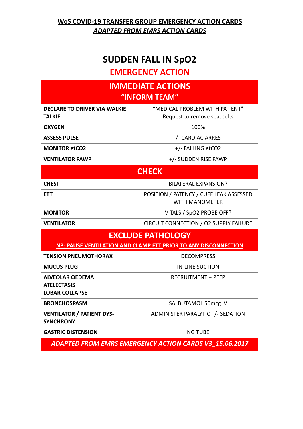## **SUDDEN FALL IN SpO2 EMERGENCY ACTION**

# **IMMEDIATE ACTIONS**

**"INFORM TEAM"**

| <b>DECLARE TO DRIVER VIA WALKIE</b><br><b>TALKIF</b>                  | "MEDICAL PROBLEM WITH PATIENT"<br>Request to remove seatbelts    |  |
|-----------------------------------------------------------------------|------------------------------------------------------------------|--|
| <b>OXYGEN</b>                                                         | 100%                                                             |  |
| <b>ASSESS PULSE</b>                                                   | +/- CARDIAC ARREST                                               |  |
| <b>MONITOR etCO2</b>                                                  | +/- FALLING etCO2                                                |  |
| <b>VENTILATOR PAWP</b>                                                | +/- SUDDEN RISE PAWP                                             |  |
| <b>CHECK</b>                                                          |                                                                  |  |
| <b>CHEST</b>                                                          | <b>BILATERAL EXPANSION?</b>                                      |  |
| <b>ETT</b>                                                            | POSITION / PATENCY / CUFF LEAK ASSESSED<br><b>WITH MANOMETER</b> |  |
| <b>MONITOR</b>                                                        | VITALS / SpO2 PROBE OFF?                                         |  |
| <b>VENTILATOR</b>                                                     | CIRCUIT CONNECTION / 02 SUPPLY FAILURE                           |  |
| <b>EXCLUDE PATHOLOGY</b>                                              |                                                                  |  |
| NB: PAUSE VENTILATION AND CLAMP ETT PRIOR TO ANY DISCONNECTION        |                                                                  |  |
| <b>TENSION PNEUMOTHORAX</b>                                           | <b>DECOMPRESS</b>                                                |  |
| <b>MUCUS PLUG</b>                                                     | <b>IN-LINE SUCTION</b>                                           |  |
| <b>ALVEOLAR OEDEMA</b><br><b>ATELECTASIS</b><br><b>LOBAR COLLAPSE</b> | <b>RECRUITMENT + PEEP</b>                                        |  |
| <b>BRONCHOSPASM</b>                                                   | SALBUTAMOL 50mcg IV                                              |  |
| <b>VENTILATOR / PATIENT DYS-</b><br><b>SYNCHRONY</b>                  | ADMINISTER PARALYTIC +/- SEDATION                                |  |
| <b>GASTRIC DISTENSION</b>                                             | <b>NG TUBE</b>                                                   |  |

*ADAPTED FROM EMRS EMERGENCY ACTION CARDS V3\_15.06.2017*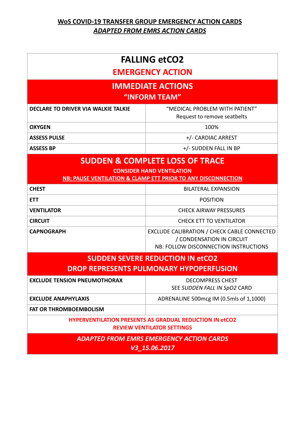| <b>FALLING etCO2</b><br><b>EMERGENCY ACTION</b>                                                                                                |                                                                                                                   |  |
|------------------------------------------------------------------------------------------------------------------------------------------------|-------------------------------------------------------------------------------------------------------------------|--|
| <b>IMMEDIATE ACTIONS</b><br>"INFORM TEAM"                                                                                                      |                                                                                                                   |  |
| <b>DECLARE TO DRIVER VIA WALKIE TALKIE</b>                                                                                                     | "MEDICAL PROBLEM WITH PATIENT"<br>Request to remove seatbelts                                                     |  |
| <b>OXYGEN</b>                                                                                                                                  | 100%                                                                                                              |  |
| <b>ASSESS PULSE</b>                                                                                                                            | +/- CARDIAC ARREST                                                                                                |  |
| <b>ASSESS BP</b>                                                                                                                               | +/- SUDDEN FALL IN BP                                                                                             |  |
| <b>SUDDEN &amp; COMPLETE LOSS OF TRACE</b><br><b>CONSIDER HAND VENTILATION</b><br>NB: PAUSE VENTILATION & CLAMP ETT PRIOR TO ANY DISCONNECTION |                                                                                                                   |  |
| <b>CHEST</b>                                                                                                                                   | <b>BILATERAL EXPANSION</b>                                                                                        |  |
| <b>ETT</b>                                                                                                                                     | <b>POSITION</b>                                                                                                   |  |
| <b>VENTILATOR</b>                                                                                                                              | <b>CHECK AIRWAY PRESSURES</b>                                                                                     |  |
| <b>CIRCUIT</b>                                                                                                                                 | <b>CHECK ETT TO VENTILATOR</b>                                                                                    |  |
| <b>CAPNOGRAPH</b>                                                                                                                              | EXCLUDE CALIBRATION / CHECK CABLE CONNECTED<br>/ CONDENSATION IN CIRCUIT<br>NB: FOLLOW DISCONNECTION INSTRUCTIONS |  |
| <b>SUDDEN SEVERE REDUCTION IN etCO2</b>                                                                                                        |                                                                                                                   |  |
| <b>DROP REPRESENTS PULMONARY HYPOPERFUSION</b>                                                                                                 |                                                                                                                   |  |
| <b>EXCLUDE TENSION PNEUMOTHORAX</b>                                                                                                            | <b>DECOMPRESS CHEST</b><br>SEE SUDDEN FALL IN SpO2 CARD                                                           |  |
| <b>EXCLUDE ANAPHYLAXIS</b>                                                                                                                     | ADRENALINE 500mcg IM (0.5mls of 1,1000)                                                                           |  |
| <b>FAT OR THROMBOEMBOLISM</b>                                                                                                                  |                                                                                                                   |  |
| <b>HYPERVENTILATION PRESENTS AS GRADUAL REDUCTION IN etCO2</b><br><b>REVIEW VENTILATOR SETTINGS</b>                                            |                                                                                                                   |  |
| <b>ADAPTED FROM EMRS EMERGENCY ACTION CARDS</b><br>V3_15.06.2017                                                                               |                                                                                                                   |  |